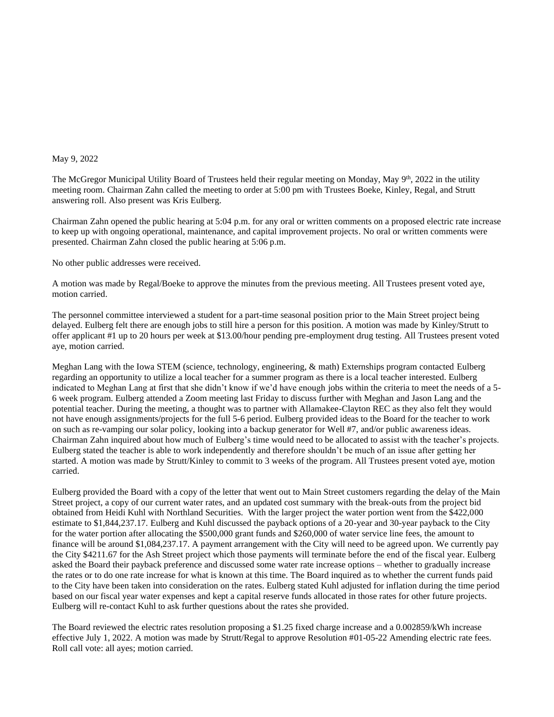## May 9, 2022

The McGregor Municipal Utility Board of Trustees held their regular meeting on Monday, May 9<sup>th</sup>, 2022 in the utility meeting room. Chairman Zahn called the meeting to order at 5:00 pm with Trustees Boeke, Kinley, Regal, and Strutt answering roll. Also present was Kris Eulberg.

Chairman Zahn opened the public hearing at 5:04 p.m. for any oral or written comments on a proposed electric rate increase to keep up with ongoing operational, maintenance, and capital improvement projects. No oral or written comments were presented. Chairman Zahn closed the public hearing at 5:06 p.m.

No other public addresses were received.

A motion was made by Regal/Boeke to approve the minutes from the previous meeting. All Trustees present voted aye, motion carried.

The personnel committee interviewed a student for a part-time seasonal position prior to the Main Street project being delayed. Eulberg felt there are enough jobs to still hire a person for this position. A motion was made by Kinley/Strutt to offer applicant #1 up to 20 hours per week at \$13.00/hour pending pre-employment drug testing. All Trustees present voted aye, motion carried.

Meghan Lang with the Iowa STEM (science, technology, engineering, & math) Externships program contacted Eulberg regarding an opportunity to utilize a local teacher for a summer program as there is a local teacher interested. Eulberg indicated to Meghan Lang at first that she didn't know if we'd have enough jobs within the criteria to meet the needs of a 5- 6 week program. Eulberg attended a Zoom meeting last Friday to discuss further with Meghan and Jason Lang and the potential teacher. During the meeting, a thought was to partner with Allamakee-Clayton REC as they also felt they would not have enough assignments/projects for the full 5-6 period. Eulberg provided ideas to the Board for the teacher to work on such as re-vamping our solar policy, looking into a backup generator for Well #7, and/or public awareness ideas. Chairman Zahn inquired about how much of Eulberg's time would need to be allocated to assist with the teacher's projects. Eulberg stated the teacher is able to work independently and therefore shouldn't be much of an issue after getting her started. A motion was made by Strutt/Kinley to commit to 3 weeks of the program. All Trustees present voted aye, motion carried.

Eulberg provided the Board with a copy of the letter that went out to Main Street customers regarding the delay of the Main Street project, a copy of our current water rates, and an updated cost summary with the break-outs from the project bid obtained from Heidi Kuhl with Northland Securities. With the larger project the water portion went from the \$422,000 estimate to \$1,844,237.17. Eulberg and Kuhl discussed the payback options of a 20-year and 30-year payback to the City for the water portion after allocating the \$500,000 grant funds and \$260,000 of water service line fees, the amount to finance will be around \$1,084,237.17. A payment arrangement with the City will need to be agreed upon. We currently pay the City \$4211.67 for the Ash Street project which those payments will terminate before the end of the fiscal year. Eulberg asked the Board their payback preference and discussed some water rate increase options – whether to gradually increase the rates or to do one rate increase for what is known at this time. The Board inquired as to whether the current funds paid to the City have been taken into consideration on the rates. Eulberg stated Kuhl adjusted for inflation during the time period based on our fiscal year water expenses and kept a capital reserve funds allocated in those rates for other future projects. Eulberg will re-contact Kuhl to ask further questions about the rates she provided.

The Board reviewed the electric rates resolution proposing a \$1.25 fixed charge increase and a 0.002859/kWh increase effective July 1, 2022. A motion was made by Strutt/Regal to approve Resolution #01-05-22 Amending electric rate fees. Roll call vote: all ayes; motion carried.